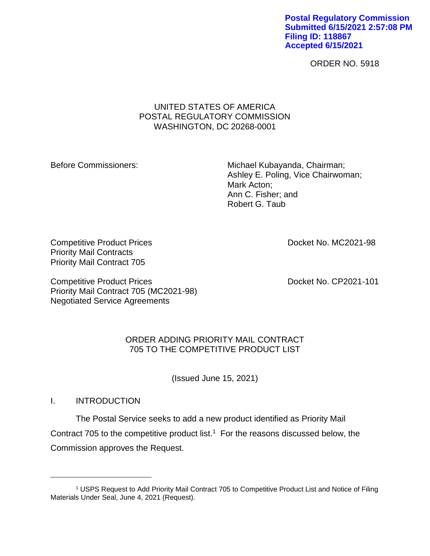**Postal Regulatory Commission Submitted 6/15/2021 2:57:08 PM Filing ID: 118867 Accepted 6/15/2021**

ORDER NO. 5918

## UNITED STATES OF AMERICA POSTAL REGULATORY COMMISSION WASHINGTON, DC 20268-0001

Before Commissioners: Michael Kubayanda, Chairman; Ashley E. Poling, Vice Chairwoman; Mark Acton; Ann C. Fisher; and Robert G. Taub

Competitive Product Prices **Docket No. MC2021-98** Priority Mail Contracts Priority Mail Contract 705

Competitive Product Prices **Docket No. CP2021-101** Priority Mail Contract 705 (MC2021-98) Negotiated Service Agreements

# ORDER ADDING PRIORITY MAIL CONTRACT 705 TO THE COMPETITIVE PRODUCT LIST

(Issued June 15, 2021)

# I. INTRODUCTION

 $\overline{a}$ 

The Postal Service seeks to add a new product identified as Priority Mail Contract 705 to the competitive product list.<sup>1</sup> For the reasons discussed below, the Commission approves the Request.

<sup>1</sup> USPS Request to Add Priority Mail Contract 705 to Competitive Product List and Notice of Filing Materials Under Seal, June 4, 2021 (Request).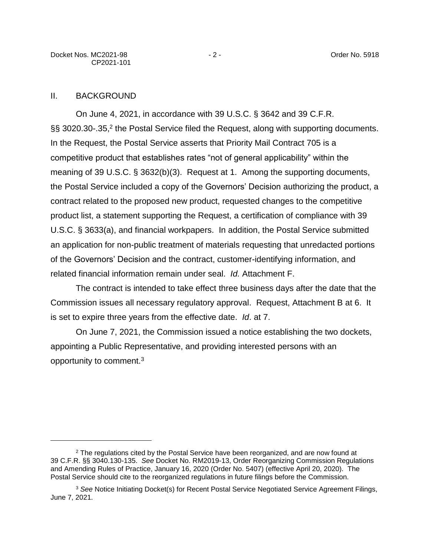## II. BACKGROUND

 $\overline{a}$ 

On June 4, 2021, in accordance with 39 U.S.C. § 3642 and 39 C.F.R. §§ 3020.30-.35,<sup>2</sup> the Postal Service filed the Request, along with supporting documents. In the Request, the Postal Service asserts that Priority Mail Contract 705 is a competitive product that establishes rates "not of general applicability" within the meaning of 39 U.S.C. § 3632(b)(3). Request at 1. Among the supporting documents, the Postal Service included a copy of the Governors' Decision authorizing the product, a contract related to the proposed new product, requested changes to the competitive product list, a statement supporting the Request, a certification of compliance with 39 U.S.C. § 3633(a), and financial workpapers. In addition, the Postal Service submitted an application for non-public treatment of materials requesting that unredacted portions of the Governors' Decision and the contract, customer-identifying information, and related financial information remain under seal. *Id.* Attachment F.

The contract is intended to take effect three business days after the date that the Commission issues all necessary regulatory approval. Request, Attachment B at 6. It is set to expire three years from the effective date. *Id*. at 7.

On June 7, 2021, the Commission issued a notice establishing the two dockets, appointing a Public Representative, and providing interested persons with an opportunity to comment.<sup>3</sup>

<sup>&</sup>lt;sup>2</sup> The regulations cited by the Postal Service have been reorganized, and are now found at 39 C.F.R. §§ 3040.130-135. *See* Docket No. RM2019-13, Order Reorganizing Commission Regulations and Amending Rules of Practice, January 16, 2020 (Order No. 5407) (effective April 20, 2020). The Postal Service should cite to the reorganized regulations in future filings before the Commission.

<sup>3</sup> *See* Notice Initiating Docket(s) for Recent Postal Service Negotiated Service Agreement Filings, June 7, 2021.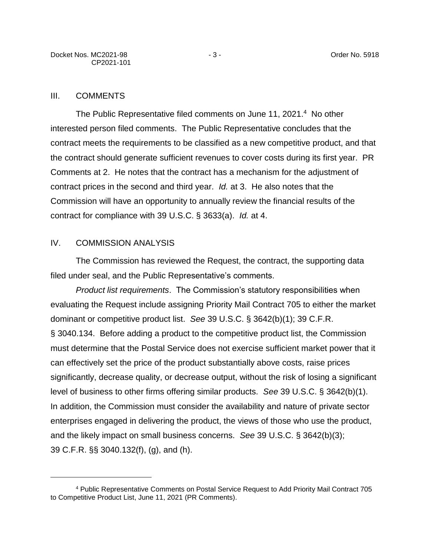#### III. COMMENTS

The Public Representative filed comments on June 11, 2021.<sup>4</sup> No other interested person filed comments. The Public Representative concludes that the contract meets the requirements to be classified as a new competitive product, and that the contract should generate sufficient revenues to cover costs during its first year. PR Comments at 2. He notes that the contract has a mechanism for the adjustment of contract prices in the second and third year. *Id.* at 3. He also notes that the Commission will have an opportunity to annually review the financial results of the contract for compliance with 39 U.S.C. § 3633(a). *Id.* at 4.

#### IV. COMMISSION ANALYSIS

 $\overline{a}$ 

The Commission has reviewed the Request, the contract, the supporting data filed under seal, and the Public Representative's comments.

*Product list requirements*. The Commission's statutory responsibilities when evaluating the Request include assigning Priority Mail Contract 705 to either the market dominant or competitive product list. *See* 39 U.S.C. § 3642(b)(1); 39 C.F.R. § 3040.134. Before adding a product to the competitive product list, the Commission must determine that the Postal Service does not exercise sufficient market power that it can effectively set the price of the product substantially above costs, raise prices significantly, decrease quality, or decrease output, without the risk of losing a significant level of business to other firms offering similar products. *See* 39 U.S.C. § 3642(b)(1). In addition, the Commission must consider the availability and nature of private sector enterprises engaged in delivering the product, the views of those who use the product, and the likely impact on small business concerns. *See* 39 U.S.C. § 3642(b)(3); 39 C.F.R. §§ 3040.132(f), (g), and (h).

<sup>4</sup> Public Representative Comments on Postal Service Request to Add Priority Mail Contract 705 to Competitive Product List, June 11, 2021 (PR Comments).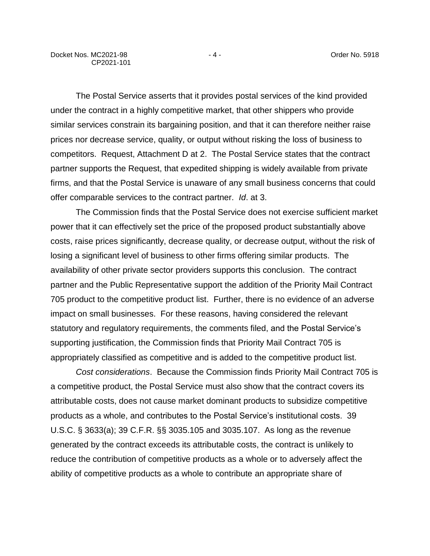The Postal Service asserts that it provides postal services of the kind provided under the contract in a highly competitive market, that other shippers who provide similar services constrain its bargaining position, and that it can therefore neither raise prices nor decrease service, quality, or output without risking the loss of business to competitors. Request, Attachment D at 2. The Postal Service states that the contract partner supports the Request, that expedited shipping is widely available from private firms, and that the Postal Service is unaware of any small business concerns that could offer comparable services to the contract partner. *Id*. at 3.

The Commission finds that the Postal Service does not exercise sufficient market power that it can effectively set the price of the proposed product substantially above costs, raise prices significantly, decrease quality, or decrease output, without the risk of losing a significant level of business to other firms offering similar products. The availability of other private sector providers supports this conclusion. The contract partner and the Public Representative support the addition of the Priority Mail Contract 705 product to the competitive product list. Further, there is no evidence of an adverse impact on small businesses. For these reasons, having considered the relevant statutory and regulatory requirements, the comments filed, and the Postal Service's supporting justification, the Commission finds that Priority Mail Contract 705 is appropriately classified as competitive and is added to the competitive product list.

*Cost considerations*. Because the Commission finds Priority Mail Contract 705 is a competitive product, the Postal Service must also show that the contract covers its attributable costs, does not cause market dominant products to subsidize competitive products as a whole, and contributes to the Postal Service's institutional costs. 39 U.S.C. § 3633(a); 39 C.F.R. §§ 3035.105 and 3035.107. As long as the revenue generated by the contract exceeds its attributable costs, the contract is unlikely to reduce the contribution of competitive products as a whole or to adversely affect the ability of competitive products as a whole to contribute an appropriate share of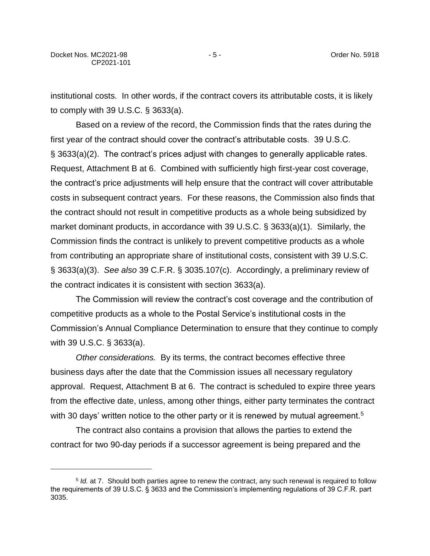$\overline{a}$ 

institutional costs. In other words, if the contract covers its attributable costs, it is likely to comply with 39 U.S.C. § 3633(a).

Based on a review of the record, the Commission finds that the rates during the first year of the contract should cover the contract's attributable costs. 39 U.S.C. § 3633(a)(2). The contract's prices adjust with changes to generally applicable rates. Request, Attachment B at 6. Combined with sufficiently high first-year cost coverage, the contract's price adjustments will help ensure that the contract will cover attributable costs in subsequent contract years. For these reasons, the Commission also finds that the contract should not result in competitive products as a whole being subsidized by market dominant products, in accordance with 39 U.S.C. § 3633(a)(1). Similarly, the Commission finds the contract is unlikely to prevent competitive products as a whole from contributing an appropriate share of institutional costs, consistent with 39 U.S.C. § 3633(a)(3). *See also* 39 C.F.R. § 3035.107(c). Accordingly, a preliminary review of the contract indicates it is consistent with section 3633(a).

The Commission will review the contract's cost coverage and the contribution of competitive products as a whole to the Postal Service's institutional costs in the Commission's Annual Compliance Determination to ensure that they continue to comply with 39 U.S.C. § 3633(a).

*Other considerations.* By its terms, the contract becomes effective three business days after the date that the Commission issues all necessary regulatory approval. Request, Attachment B at 6. The contract is scheduled to expire three years from the effective date, unless, among other things, either party terminates the contract with 30 days' written notice to the other party or it is renewed by mutual agreement.<sup>5</sup>

The contract also contains a provision that allows the parties to extend the contract for two 90-day periods if a successor agreement is being prepared and the

<sup>5</sup> *Id.* at 7.Should both parties agree to renew the contract, any such renewal is required to follow the requirements of 39 U.S.C. § 3633 and the Commission's implementing regulations of 39 C.F.R. part 3035.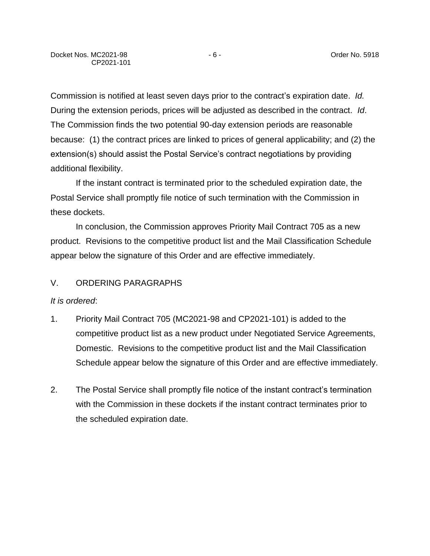Commission is notified at least seven days prior to the contract's expiration date. *Id.* During the extension periods, prices will be adjusted as described in the contract. *Id*. The Commission finds the two potential 90-day extension periods are reasonable because: (1) the contract prices are linked to prices of general applicability; and (2) the extension(s) should assist the Postal Service's contract negotiations by providing additional flexibility.

If the instant contract is terminated prior to the scheduled expiration date, the Postal Service shall promptly file notice of such termination with the Commission in these dockets.

In conclusion, the Commission approves Priority Mail Contract 705 as a new product. Revisions to the competitive product list and the Mail Classification Schedule appear below the signature of this Order and are effective immediately.

# V. ORDERING PARAGRAPHS

#### *It is ordered*:

- 1. Priority Mail Contract 705 (MC2021-98 and CP2021-101) is added to the competitive product list as a new product under Negotiated Service Agreements, Domestic. Revisions to the competitive product list and the Mail Classification Schedule appear below the signature of this Order and are effective immediately.
- 2. The Postal Service shall promptly file notice of the instant contract's termination with the Commission in these dockets if the instant contract terminates prior to the scheduled expiration date.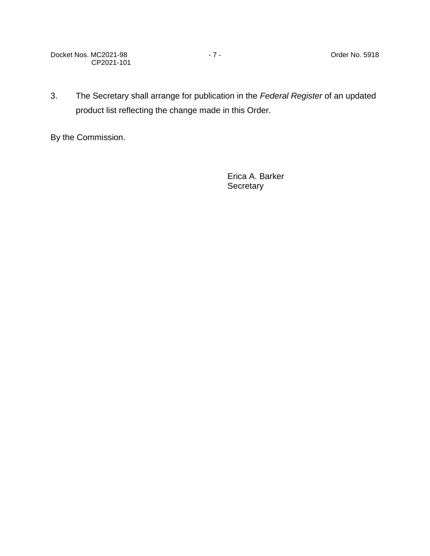Docket Nos. MC2021-98 - 7 - The Contract of the Contract Order No. 5918 CP2021-101

3. The Secretary shall arrange for publication in the *Federal Register* of an updated product list reflecting the change made in this Order.

By the Commission.

Erica A. Barker **Secretary**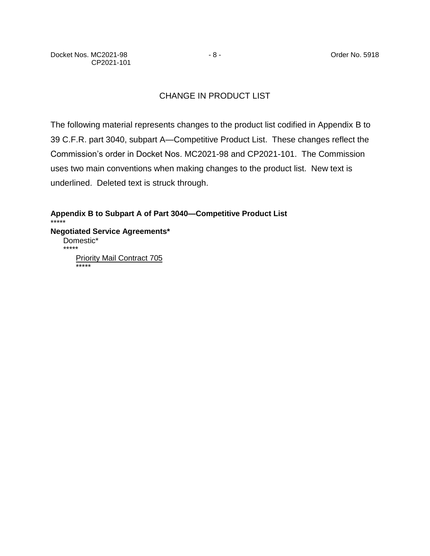# CHANGE IN PRODUCT LIST

The following material represents changes to the product list codified in Appendix B to 39 C.F.R. part 3040, subpart A—Competitive Product List. These changes reflect the Commission's order in Docket Nos. MC2021-98 and CP2021-101. The Commission uses two main conventions when making changes to the product list. New text is underlined. Deleted text is struck through.

**Appendix B to Subpart A of Part 3040—Competitive Product List** \*\*\*\*\* **Negotiated Service Agreements\*** Domestic\* \*\*\*\*\* **Priority Mail Contract 705** \*\*\*\*\*